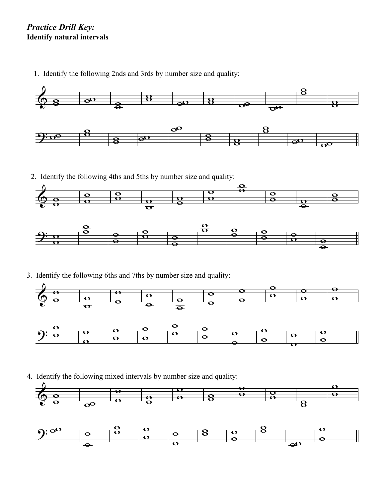## *Practice Drill Key:* **Identify natural intervals**

1. Identify the following 2nds and 3rds by number size and quality:



2. Identify the following 4ths and 5ths by number size and quality:



3. Identify the following 6ths and 7ths by number size and quality:





4. Identify the following mixed intervals by number size and quality: